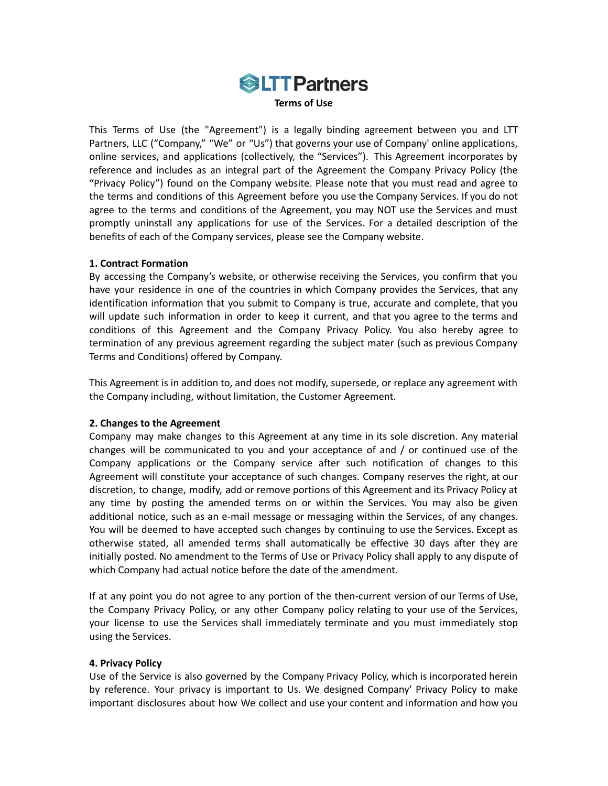

This Terms of Use (the "Agreement") is a legally binding agreement between you and LTT Partners, LLC ("Company," "We" or "Us") that governs your use of Company' online applications, online services, and applications (collectively, the "Services"). This Agreement incorporates by reference and includes as an integral part of the Agreement the Company Privacy Policy (the "Privacy Policy") found on the Company website. Please note that you must read and agree to the terms and conditions of this Agreement before you use the Company Services. If you do not agree to the terms and conditions of the Agreement, you may NOT use the Services and must promptly uninstall any applications for use of the Services. For a detailed description of the benefits of each of the Company services, please see the Company website.

# **1. Contract Formation**

By accessing the Company's website, or otherwise receiving the Services, you confirm that you have your residence in one of the countries in which Company provides the Services, that any identification information that you submit to Company is true, accurate and complete, that you will update such information in order to keep it current, and that you agree to the terms and conditions of this Agreement and the Company Privacy Policy. You also hereby agree to termination of any previous agreement regarding the subject mater (such as previous Company Terms and Conditions) offered by Company.

This Agreement is in addition to, and does not modify, supersede, or replace any agreement with the Company including, without limitation, the Customer Agreement.

# **2. Changes to the Agreement**

Company may make changes to this Agreement at any time in its sole discretion. Any material changes will be communicated to you and your acceptance of and / or continued use of the Company applications or the Company service after such notification of changes to this Agreement will constitute your acceptance of such changes. Company reserves the right, at our discretion, to change, modify, add or remove portions of this Agreement and its Privacy Policy at any time by posting the amended terms on or within the Services. You may also be given additional notice, such as an e-mail message or messaging within the Services, of any changes. You will be deemed to have accepted such changes by continuing to use the Services. Except as otherwise stated, all amended terms shall automatically be effective 30 days after they are initially posted. No amendment to the Terms of Use or Privacy Policy shall apply to any dispute of which Company had actual notice before the date of the amendment.

If at any point you do not agree to any portion of the then-current version of our Terms of Use, the Company Privacy Policy, or any other Company policy relating to your use of the Services, your license to use the Services shall immediately terminate and you must immediately stop using the Services.

## **4. Privacy Policy**

Use of the Service is also governed by the Company Privacy Policy, which is incorporated herein by reference. Your privacy is important to Us. We designed Company' Privacy Policy to make important disclosures about how We collect and use your content and information and how you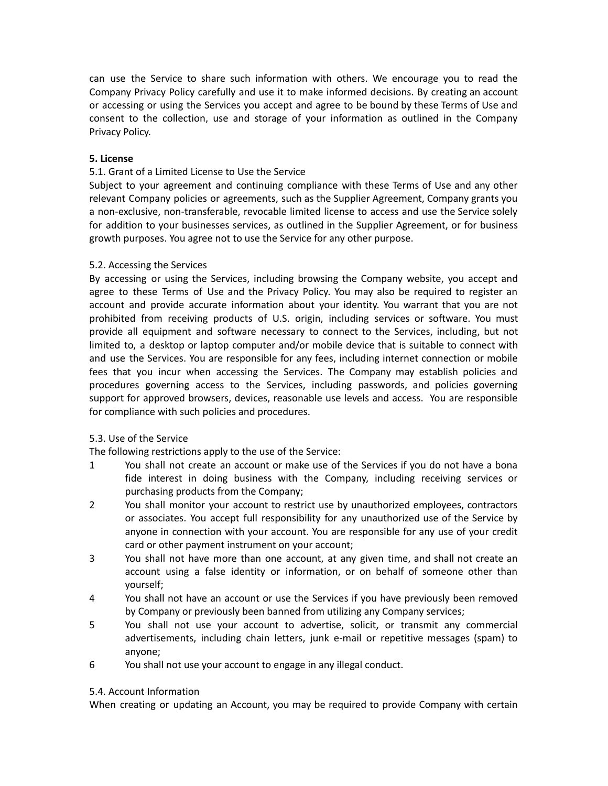can use the Service to share such information with others. We encourage you to read the Company Privacy Policy carefully and use it to make informed decisions. By creating an account or accessing or using the Services you accept and agree to be bound by these Terms of Use and consent to the collection, use and storage of your information as outlined in the Company Privacy Policy.

# **5. License**

# 5.1. Grant of a Limited License to Use the Service

Subject to your agreement and continuing compliance with these Terms of Use and any other relevant Company policies or agreements, such as the Supplier Agreement, Company grants you a non-exclusive, non-transferable, revocable limited license to access and use the Service solely for addition to your businesses services, as outlined in the Supplier Agreement, or for business growth purposes. You agree not to use the Service for any other purpose.

# 5.2. Accessing the Services

By accessing or using the Services, including browsing the Company website, you accept and agree to these Terms of Use and the Privacy Policy. You may also be required to register an account and provide accurate information about your identity. You warrant that you are not prohibited from receiving products of U.S. origin, including services or software. You must provide all equipment and software necessary to connect to the Services, including, but not limited to, a desktop or laptop computer and/or mobile device that is suitable to connect with and use the Services. You are responsible for any fees, including internet connection or mobile fees that you incur when accessing the Services. The Company may establish policies and procedures governing access to the Services, including passwords, and policies governing support for approved browsers, devices, reasonable use levels and access. You are responsible for compliance with such policies and procedures.

## 5.3. Use of the Service

The following restrictions apply to the use of the Service:

- 1 You shall not create an account or make use of the Services if you do not have a bona fide interest in doing business with the Company, including receiving services or purchasing products from the Company;
- 2 You shall monitor your account to restrict use by unauthorized employees, contractors or associates. You accept full responsibility for any unauthorized use of the Service by anyone in connection with your account. You are responsible for any use of your credit card or other payment instrument on your account;
- 3 You shall not have more than one account, at any given time, and shall not create an account using a false identity or information, or on behalf of someone other than yourself;
- 4 You shall not have an account or use the Services if you have previously been removed by Company or previously been banned from utilizing any Company services;
- 5 You shall not use your account to advertise, solicit, or transmit any commercial advertisements, including chain letters, junk e-mail or repetitive messages (spam) to anyone;
- 6 You shall not use your account to engage in any illegal conduct.

## 5.4. Account Information

When creating or updating an Account, you may be required to provide Company with certain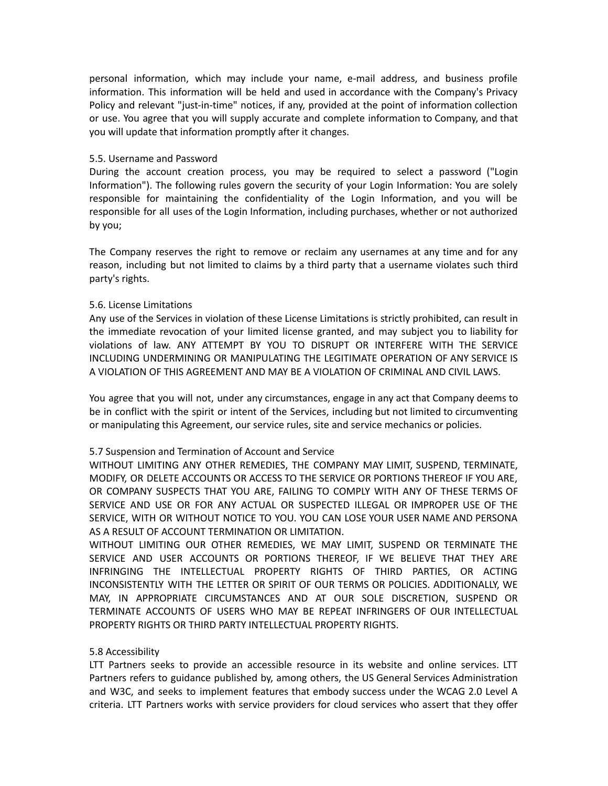personal information, which may include your name, e-mail address, and business profile information. This information will be held and used in accordance with the Company's Privacy Policy and relevant "just-in-time" notices, if any, provided at the point of information collection or use. You agree that you will supply accurate and complete information to Company, and that you will update that information promptly after it changes.

## 5.5. Username and Password

During the account creation process, you may be required to select a password ("Login Information"). The following rules govern the security of your Login Information: You are solely responsible for maintaining the confidentiality of the Login Information, and you will be responsible for all uses of the Login Information, including purchases, whether or not authorized by you;

The Company reserves the right to remove or reclaim any usernames at any time and for any reason, including but not limited to claims by a third party that a username violates such third party's rights.

# 5.6. License Limitations

Any use of the Services in violation of these License Limitations is strictly prohibited, can result in the immediate revocation of your limited license granted, and may subject you to liability for violations of law. ANY ATTEMPT BY YOU TO DISRUPT OR INTERFERE WITH THE SERVICE INCLUDING UNDERMINING OR MANIPULATING THE LEGITIMATE OPERATION OF ANY SERVICE IS A VIOLATION OF THIS AGREEMENT AND MAY BE A VIOLATION OF CRIMINAL AND CIVIL LAWS.

You agree that you will not, under any circumstances, engage in any act that Company deems to be in conflict with the spirit or intent of the Services, including but not limited to circumventing or manipulating this Agreement, our service rules, site and service mechanics or policies.

# 5.7 Suspension and Termination of Account and Service

WITHOUT LIMITING ANY OTHER REMEDIES, THE COMPANY MAY LIMIT, SUSPEND, TERMINATE, MODIFY, OR DELETE ACCOUNTS OR ACCESS TO THE SERVICE OR PORTIONS THEREOF IF YOU ARE, OR COMPANY SUSPECTS THAT YOU ARE, FAILING TO COMPLY WITH ANY OF THESE TERMS OF SERVICE AND USE OR FOR ANY ACTUAL OR SUSPECTED ILLEGAL OR IMPROPER USE OF THE SERVICE, WITH OR WITHOUT NOTICE TO YOU. YOU CAN LOSE YOUR USER NAME AND PERSONA AS A RESULT OF ACCOUNT TERMINATION OR LIMITATION.

WITHOUT LIMITING OUR OTHER REMEDIES, WE MAY LIMIT, SUSPEND OR TERMINATE THE SERVICE AND USER ACCOUNTS OR PORTIONS THEREOF, IF WE BELIEVE THAT THEY ARE INFRINGING THE INTELLECTUAL PROPERTY RIGHTS OF THIRD PARTIES, OR ACTING INCONSISTENTLY WITH THE LETTER OR SPIRIT OF OUR TERMS OR POLICIES. ADDITIONALLY, WE MAY, IN APPROPRIATE CIRCUMSTANCES AND AT OUR SOLE DISCRETION, SUSPEND OR TERMINATE ACCOUNTS OF USERS WHO MAY BE REPEAT INFRINGERS OF OUR INTELLECTUAL PROPERTY RIGHTS OR THIRD PARTY INTELLECTUAL PROPERTY RIGHTS.

# 5.8 Accessibility

LTT Partners seeks to provide an accessible resource in its website and online services. LTT Partners refers to guidance published by, among others, the US General Services Administration and W3C, and seeks to implement features that embody success under the WCAG 2.0 Level A criteria. LTT Partners works with service providers for cloud services who assert that they offer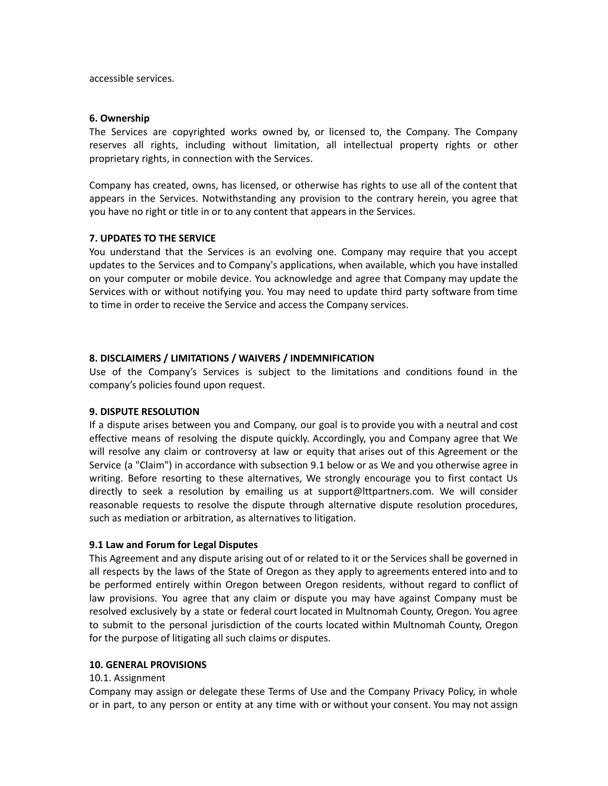accessible services.

## **6. Ownership**

The Services are copyrighted works owned by, or licensed to, the Company. The Company reserves all rights, including without limitation, all intellectual property rights or other proprietary rights, in connection with the Services.

Company has created, owns, has licensed, or otherwise has rights to use all of the content that appears in the Services. Notwithstanding any provision to the contrary herein, you agree that you have no right or title in or to any content that appears in the Services.

## **7. UPDATES TO THE SERVICE**

You understand that the Services is an evolving one. Company may require that you accept updates to the Services and to Company's applications, when available, which you have installed on your computer or mobile device. You acknowledge and agree that Company may update the Services with or without notifying you. You may need to update third party software from time to time in order to receive the Service and access the Company services.

## **8. DISCLAIMERS / LIMITATIONS / WAIVERS / INDEMNIFICATION**

Use of the Company's Services is subject to the limitations and conditions found in the company's policies found upon request.

## **9. DISPUTE RESOLUTION**

If a dispute arises between you and Company, our goal is to provide you with a neutral and cost effective means of resolving the dispute quickly. Accordingly, you and Company agree that We will resolve any claim or controversy at law or equity that arises out of this Agreement or the Service (a "Claim") in accordance with subsection 9.1 below or as We and you otherwise agree in writing. Before resorting to these alternatives, We strongly encourage you to first contact Us directly to seek a resolution by emailing us at support@lttpartners.com. We will consider reasonable requests to resolve the dispute through alternative dispute resolution procedures, such as mediation or arbitration, as alternatives to litigation.

## **9.1 Law and Forum for Legal Disputes**

This Agreement and any dispute arising out of or related to it or the Services shall be governed in all respects by the laws of the State of Oregon as they apply to agreements entered into and to be performed entirely within Oregon between Oregon residents, without regard to conflict of law provisions. You agree that any claim or dispute you may have against Company must be resolved exclusively by a state or federal court located in Multnomah County, Oregon. You agree to submit to the personal jurisdiction of the courts located within Multnomah County, Oregon for the purpose of litigating all such claims or disputes.

# **10. GENERAL PROVISIONS**

## 10.1. Assignment

Company may assign or delegate these Terms of Use and the Company Privacy Policy, in whole or in part, to any person or entity at any time with or without your consent. You may not assign